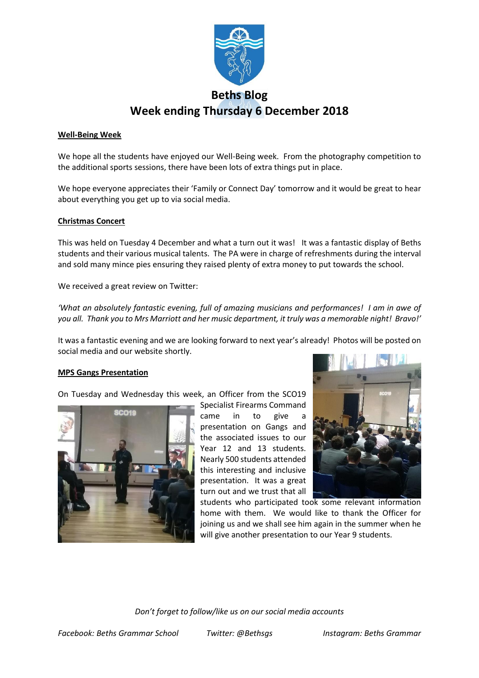

### **Well-Being Week**

We hope all the students have enjoyed our Well-Being week. From the photography competition to the additional sports sessions, there have been lots of extra things put in place.

We hope everyone appreciates their 'Family or Connect Day' tomorrow and it would be great to hear about everything you get up to via social media.

### **Christmas Concert**

This was held on Tuesday 4 December and what a turn out it was! It was a fantastic display of Beths students and their various musical talents. The PA were in charge of refreshments during the interval and sold many mince pies ensuring they raised plenty of extra money to put towards the school.

We received a great review on Twitter:

*'What an absolutely fantastic evening, full of amazing musicians and performances! I am in awe of you all. Thank you to Mrs Marriott and her music department, it truly was a memorable night! Bravo!'*

It was a fantastic evening and we are looking forward to next year's already! Photos will be posted on social media and our website shortly.

came in to give

Year 12 and 13 students. Nearly 500 students attended

presentation. It was a great

### **MPS Gangs Presentation**

On Tuesday and Wednesday this week, an Officer from the SCO19





students who participated took some relevant information home with them. We would like to thank the Officer for joining us and we shall see him again in the summer when he will give another presentation to our Year 9 students.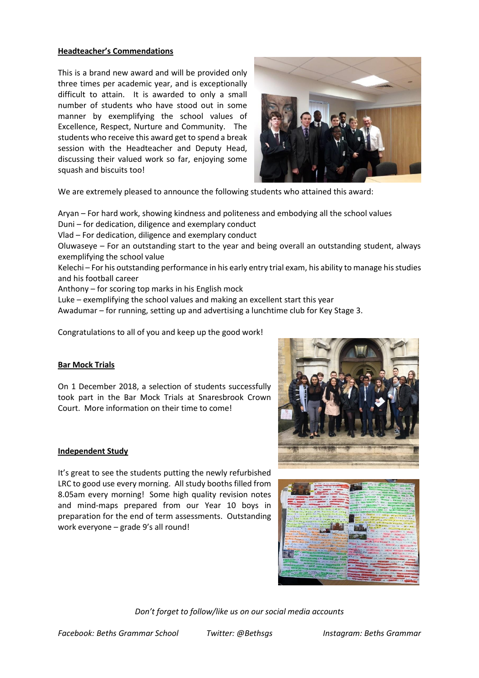## **Headteacher's Commendations**

This is a brand new award and will be provided only three times per academic year, and is exceptionally difficult to attain. It is awarded to only a small number of students who have stood out in some manner by exemplifying the school values of Excellence, Respect, Nurture and Community. The students who receive this award get to spend a break session with the Headteacher and Deputy Head, discussing their valued work so far, enjoying some squash and biscuits too!



We are extremely pleased to announce the following students who attained this award:

Aryan – For hard work, showing kindness and politeness and embodying all the school values Duni – for dedication, diligence and exemplary conduct Vlad – For dedication, diligence and exemplary conduct Oluwaseye – For an outstanding start to the year and being overall an outstanding student, always exemplifying the school value Kelechi – For his outstanding performance in his early entry trial exam, his ability to manage his studies and his football career Anthony – for scoring top marks in his English mock Luke – exemplifying the school values and making an excellent start this year Awadumar – for running, setting up and advertising a lunchtime club for Key Stage 3.

Congratulations to all of you and keep up the good work!

# **Bar Mock Trials**

On 1 December 2018, a selection of students successfully took part in the Bar Mock Trials at Snaresbrook Crown Court. More information on their time to come!

### **Independent Study**

It's great to see the students putting the newly refurbished LRC to good use every morning. All study booths filled from 8.05am every morning! Some high quality revision notes and mind-maps prepared from our Year 10 boys in preparation for the end of term assessments. Outstanding work everyone – grade 9's all round!



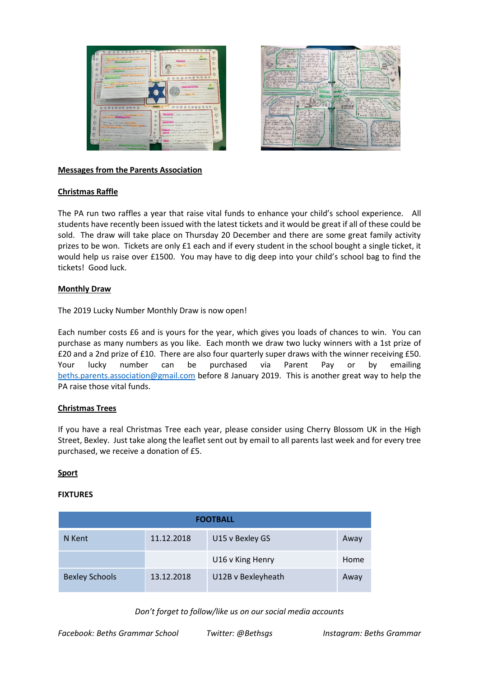



### **Messages from the Parents Association**

## **Christmas Raffle**

The PA run two raffles a year that raise vital funds to enhance your child's school experience. All students have recently been issued with the latest tickets and it would be great if all of these could be sold. The draw will take place on Thursday 20 December and there are some great family activity prizes to be won. Tickets are only £1 each and if every student in the school bought a single ticket, it would help us raise over £1500. You may have to dig deep into your child's school bag to find the tickets! Good luck.

## **Monthly Draw**

The 2019 Lucky Number Monthly Draw is now open!

Each number costs £6 and is yours for the year, which gives you loads of chances to win. You can purchase as many numbers as you like. Each month we draw two lucky winners with a 1st prize of £20 and a 2nd prize of £10. There are also four quarterly super draws with the winner receiving £50. Your lucky number can be purchased via Parent Pay or by emailing [beths.parents.association@gmail.com](mailto:beths.parents.association@gmail.com) before 8 January 2019. This is another great way to help the PA raise those vital funds.

# **Christmas Trees**

If you have a real Christmas Tree each year, please consider using Cherry Blossom UK in the High Street, Bexley. Just take along the leaflet sent out by email to all parents last week and for every tree purchased, we receive a donation of £5.

### **Sport**

### **FIXTURES**

| <b>FOOTBALL</b>       |            |                    |      |  |  |  |
|-----------------------|------------|--------------------|------|--|--|--|
| N Kent                | 11.12.2018 | U15 v Bexley GS    | Away |  |  |  |
|                       |            | U16 v King Henry   | Home |  |  |  |
| <b>Bexley Schools</b> | 13.12.2018 | U12B v Bexleyheath | Away |  |  |  |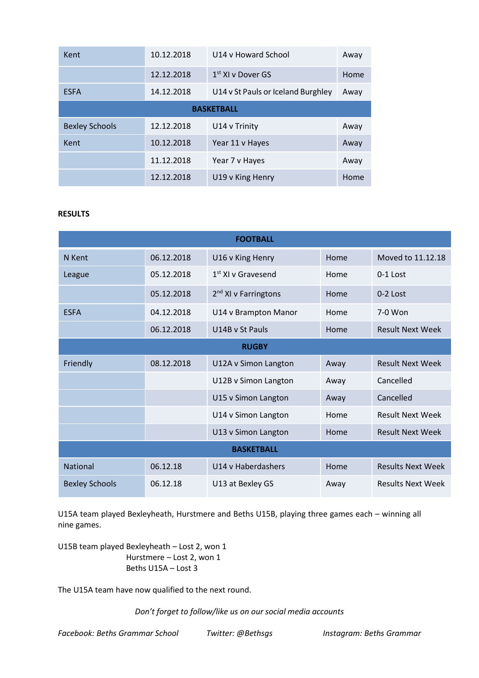| Kent                  | 10.12.2018 | U14 v Howard School                | Away |  |  |  |  |
|-----------------------|------------|------------------------------------|------|--|--|--|--|
|                       | 12.12.2018 | $1st$ XI v Dover GS                | Home |  |  |  |  |
| <b>ESFA</b>           | 14.12.2018 | U14 v St Pauls or Iceland Burghley | Away |  |  |  |  |
| <b>BASKETBALL</b>     |            |                                    |      |  |  |  |  |
| <b>Bexley Schools</b> | 12.12.2018 | U14 v Trinity                      | Away |  |  |  |  |
| Kent                  | 10.12.2018 | Year 11 v Hayes                    | Away |  |  |  |  |
|                       | 11.12.2018 | Year 7 v Hayes                     | Away |  |  |  |  |
|                       | 12.12.2018 | U19 v King Henry                   | Home |  |  |  |  |

## **RESULTS**

| <b>FOOTBALL</b>       |            |                                  |      |                          |  |  |  |
|-----------------------|------------|----------------------------------|------|--------------------------|--|--|--|
| N Kent                | 06.12.2018 | U16 v King Henry                 | Home | Moved to 11.12.18        |  |  |  |
| League                | 05.12.2018 | $1st$ XI v Gravesend             | Home | $0-1$ Lost               |  |  |  |
|                       | 05.12.2018 | 2 <sup>nd</sup> XI v Farringtons | Home | $0-2$ Lost               |  |  |  |
| <b>ESFA</b>           | 04.12.2018 | U14 v Brampton Manor             | Home | 7-0 Won                  |  |  |  |
|                       | 06.12.2018 | U14B v St Pauls                  | Home | <b>Result Next Week</b>  |  |  |  |
| <b>RUGBY</b>          |            |                                  |      |                          |  |  |  |
| Friendly              | 08.12.2018 | U12A v Simon Langton             | Away | <b>Result Next Week</b>  |  |  |  |
|                       |            | U12B v Simon Langton             | Away | Cancelled                |  |  |  |
|                       |            | U15 v Simon Langton              | Away | Cancelled                |  |  |  |
|                       |            | U14 v Simon Langton              | Home | <b>Result Next Week</b>  |  |  |  |
|                       |            | U13 v Simon Langton              | Home | <b>Result Next Week</b>  |  |  |  |
| <b>BASKETBALL</b>     |            |                                  |      |                          |  |  |  |
| <b>National</b>       | 06.12.18   | U14 v Haberdashers               | Home | <b>Results Next Week</b> |  |  |  |
| <b>Bexley Schools</b> | 06.12.18   | U13 at Bexley GS                 | Away | <b>Results Next Week</b> |  |  |  |

U15A team played Bexleyheath, Hurstmere and Beths U15B, playing three games each – winning all nine games.

U15B team played Bexleyheath – Lost 2, won 1 Hurstmere – Lost 2, won 1 Beths U15A – Lost 3

The U15A team have now qualified to the next round.

*Don't forget to follow/like us on our social media accounts*

*Facebook: Beths Grammar School Twitter: @Bethsgs Instagram: Beths Grammar*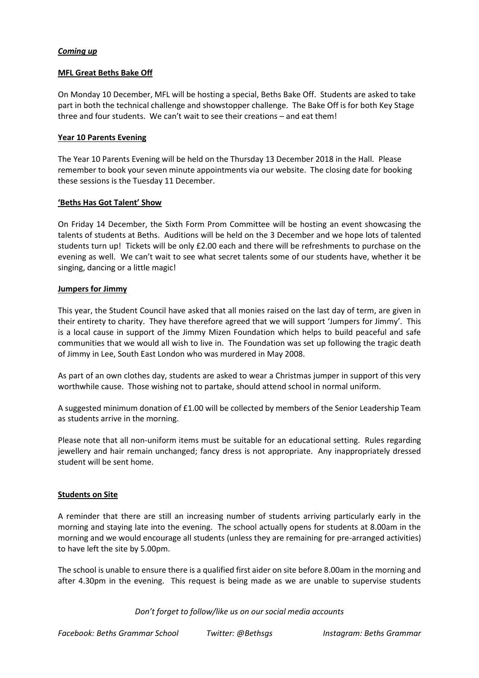## *Coming up*

#### **MFL Great Beths Bake Off**

On Monday 10 December, MFL will be hosting a special, Beths Bake Off. Students are asked to take part in both the technical challenge and showstopper challenge. The Bake Off is for both Key Stage three and four students. We can't wait to see their creations – and eat them!

#### **Year 10 Parents Evening**

The Year 10 Parents Evening will be held on the Thursday 13 December 2018 in the Hall. Please remember to book your seven minute appointments via our website. The closing date for booking these sessions is the Tuesday 11 December.

#### **'Beths Has Got Talent' Show**

On Friday 14 December, the Sixth Form Prom Committee will be hosting an event showcasing the talents of students at Beths. Auditions will be held on the 3 December and we hope lots of talented students turn up! Tickets will be only £2.00 each and there will be refreshments to purchase on the evening as well. We can't wait to see what secret talents some of our students have, whether it be singing, dancing or a little magic!

### **Jumpers for Jimmy**

This year, the Student Council have asked that all monies raised on the last day of term, are given in their entirety to charity. They have therefore agreed that we will support 'Jumpers for Jimmy'. This is a local cause in support of the Jimmy Mizen Foundation which helps to build peaceful and safe communities that we would all wish to live in. The Foundation was set up following the tragic death of Jimmy in Lee, South East London who was murdered in May 2008.

As part of an own clothes day, students are asked to wear a Christmas jumper in support of this very worthwhile cause. Those wishing not to partake, should attend school in normal uniform.

A suggested minimum donation of £1.00 will be collected by members of the Senior Leadership Team as students arrive in the morning.

Please note that all non-uniform items must be suitable for an educational setting. Rules regarding jewellery and hair remain unchanged; fancy dress is not appropriate. Any inappropriately dressed student will be sent home.

### **Students on Site**

A reminder that there are still an increasing number of students arriving particularly early in the morning and staying late into the evening. The school actually opens for students at 8.00am in the morning and we would encourage all students (unless they are remaining for pre-arranged activities) to have left the site by 5.00pm.

The school is unable to ensure there is a qualified first aider on site before 8.00am in the morning and after 4.30pm in the evening. This request is being made as we are unable to supervise students